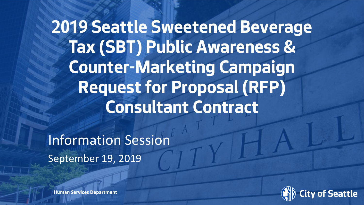**2019 Seattle Sweetened Beverage Tax (SBT) Public Awareness & Counter-Marketing Campaign Request for Proposal (RFP) Consultant Contract** 

Information Session September 19, 2019



**Human Services Department**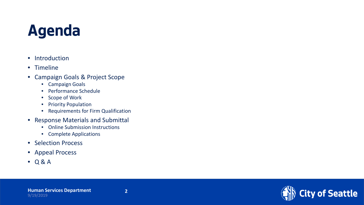# **Agenda**

- Introduction
- Timeline
- Campaign Goals & Project Scope
	- Campaign Goals
	- Performance Schedule
	- Scope of Work
	- Priority Population
	- Requirements for Firm Qualification
- Response Materials and Submittal
	- Online Submission Instructions
	- Complete Applications
- Selection Process
- Appeal Process
- Q & A

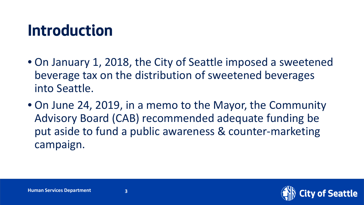## **Introduction**

- On January 1, 2018, the City of Seattle imposed a sweetened beverage tax on the distribution of sweetened beverages into Seattle.
- On June 24, 2019, in a memo to the Mayor, the Community Advisory Board (CAB) recommended adequate funding be put aside to fund a public awareness & counter-marketing campaign.

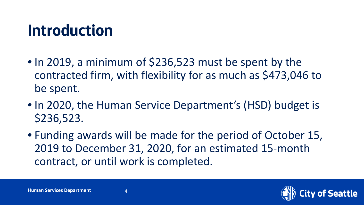# **Introduction**

- In 2019, a minimum of \$236,523 must be spent by the contracted firm, with flexibility for as much as \$473,046 to be spent.
- In 2020, the Human Service Department's (HSD) budget is \$236,523.
- Funding awards will be made for the period of October 15, 2019 to December 31, 2020, for an estimated 15-month contract, or until work is completed.

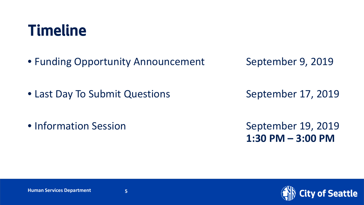### **Timeline**

- Funding Opportunity Announcement September 9, 2019
- 
- Last Day To Submit Questions September 17, 2019

• Information Session September 19, 2019

**1:30 PM – 3:00 PM** 



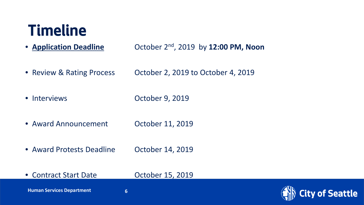### **Timeline**

• **Application Deadline** October 2nd, 2019 by **12:00 PM, Noon**

- Review & Rating Process October 2, 2019 to October 4, 2019
- Interviews Cotober 9, 2019
- Award Announcement Cortober 11, 2019
- Award Protests Deadline October 14, 2019
- Contract Start Date **Canadian Contract Start Date Contract Start Date Control**

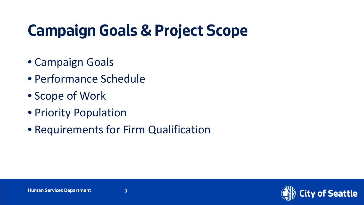# **Campaign Goals & Project Scope**

- Campaign Goals
- Performance Schedule
- Scope of Work
- Priority Population
- Requirements for Firm Qualification

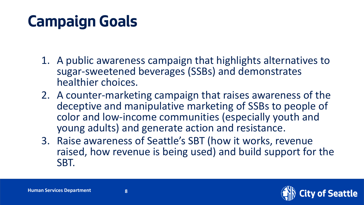# **Campaign Goals**

- 1. A public awareness campaign that highlights alternatives to sugar-sweetened beverages (SSBs) and demonstrates healthier choices.
- 2. A counter-marketing campaign that raises awareness of the deceptive and manipulative marketing of SSBs to people of color and low-income communities (especially youth and young adults) and generate action and resistance.
- 3. Raise awareness of Seattle's SBT (how it works, revenue raised, how revenue is being used) and build support for the SBT.

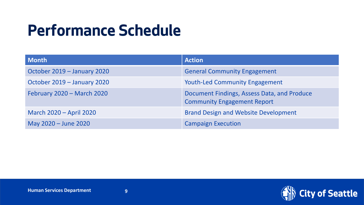# **Performance Schedule**

| <b>Month</b>                | <b>Action</b>                                                                     |
|-----------------------------|-----------------------------------------------------------------------------------|
| October 2019 - January 2020 | <b>General Community Engagement</b>                                               |
| October 2019 - January 2020 | <b>Youth-Led Community Engagement</b>                                             |
| February 2020 - March 2020  | Document Findings, Assess Data, and Produce<br><b>Community Engagement Report</b> |
| March 2020 - April 2020     | <b>Brand Design and Website Development</b>                                       |
| May 2020 - June 2020        | <b>Campaign Execution</b>                                                         |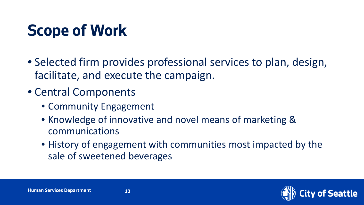# **Scope of Work**

- Selected firm provides professional services to plan, design, facilitate, and execute the campaign.
- Central Components
	- Community Engagement
	- Knowledge of innovative and novel means of marketing & communications
	- History of engagement with communities most impacted by the sale of sweetened beverages

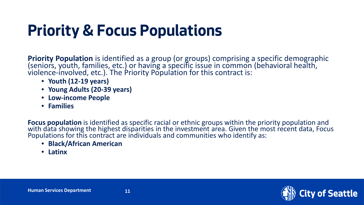# **Priority & Focus Populations**

Priority Population is identified as a group (or groups) comprising a specific demographic<br>(seniors, youth, families, etc.) or having a specific issue in common (behavioral health, violence-involved, etc.). The Priority Population for this contract is:

- **Youth (12-19 years)**
- **Young Adults (20-39 years)**
- **Low-income People**
- **Families**

**Focus population** is identified as specific racial or ethnic groups within the priority population and<br>with data showing the highest disparities in the investment area. Given the most recent data, Focus Populations for this contract are individuals and communities who identify as:

- **Black/African American**
- **Latinx**

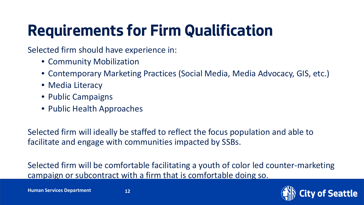# **Requirements for Firm Qualification**

Selected firm should have experience in:

- Community Mobilization
- Contemporary Marketing Practices (Social Media, Media Advocacy, GIS, etc.)
- Media Literacy
- Public Campaigns
- Public Health Approaches

Selected firm will ideally be staffed to reflect the focus population and able to facilitate and engage with communities impacted by SSBs.

Selected firm will be comfortable facilitating a youth of color led counter-marketing campaign or subcontract with a firm that is comfortable doing so.

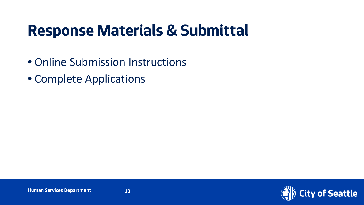# **Response Materials & Submittal**

- Online Submission Instructions
- Complete Applications

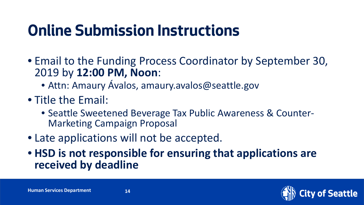# **Online Submission Instructions**

- Email to the Funding Process Coordinator by September 30, 2019 by **12:00 PM, Noon**:
	- Attn: Amaury Ávalos, amaury.avalos@seattle.gov
- Title the Email:
	- Seattle Sweetened Beverage Tax Public Awareness & Counter- Marketing Campaign Proposal
- Late applications will not be accepted.
- **HSD is not responsible for ensuring that applications are received by deadline**

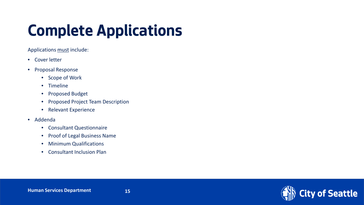# **Complete Applications**

Applications must include:

- Cover letter
- Proposal Response
	- Scope of Work
	- Timeline
	- Proposed Budget
	- Proposed Project Team Description
	- Relevant Experience
- Addenda
	- Consultant Questionnaire
	- Proof of Legal Business Name
	- Minimum Qualifications
	- Consultant Inclusion Plan

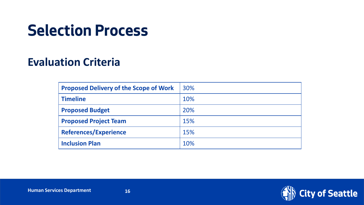# **Selection Process**

#### **Evaluation Criteria**

| <b>Proposed Delivery of the Scope of Work</b> | 30% |
|-----------------------------------------------|-----|
| <b>Timeline</b>                               | 10% |
| <b>Proposed Budget</b>                        | 20% |
| <b>Proposed Project Team</b>                  | 15% |
| <b>References/Experience</b>                  | 15% |
| <b>Inclusion Plan</b>                         | 10% |

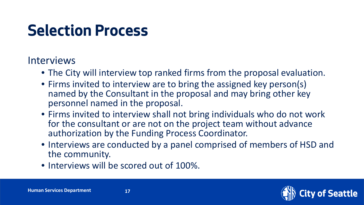# **Selection Process**

#### Interviews

- The City will interview top ranked firms from the proposal evaluation.
- Firms invited to interview are to bring the assigned key person(s) named by the Consultant in the proposal and may bring other key personnel named in the proposal.
- Firms invited to interview shall not bring individuals who do not work for the consultant or are not on the project team without advance authorization by the Funding Process Coordinator.
- Interviews are conducted by a panel comprised of members of HSD and the community.
- Interviews will be scored out of 100%.

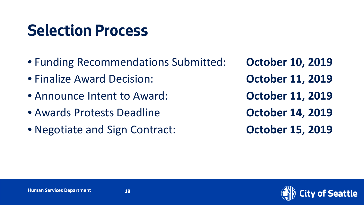# **Selection Process**

- Funding Recommendations Submitted: **October 10, 2019**
- Finalize Award Decision: **October 11, 2019**
- Announce Intent to Award: **October 11, 2019**
- Awards Protests Deadline **October 14, 2019**
- Negotiate and Sign Contract: **October 15, 2019**

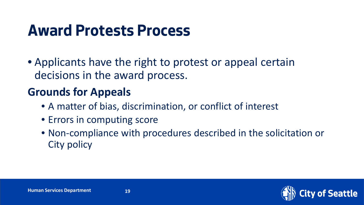• Applicants have the right to protest or appeal certain decisions in the award process.

#### **Grounds for Appeals**

- A matter of bias, discrimination, or conflict of interest
- Errors in computing score
- Non-compliance with procedures described in the solicitation or City policy

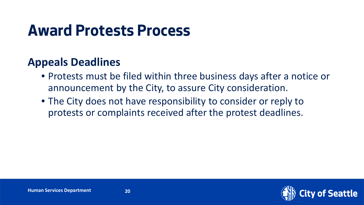#### **Appeals Deadlines**

- Protests must be filed within three business days after a notice or announcement by the City, to assure City consideration.
- The City does not have responsibility to consider or reply to protests or complaints received after the protest deadlines.

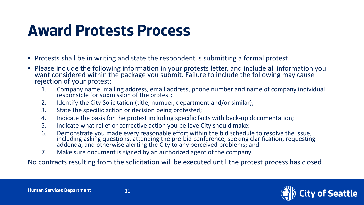- Protests shall be in writing and state the respondent is submitting a formal protest.
- Please include the following information in your protests letter, and include all information you want considered within the package you submit. Failure to include the following may cause  $\dot{}$ rejection of your protest:
	- 1. Company name, mailing address, email address, phone number and name of company individual responsible for submission of the protest;
	- 2. Identify the City Solicitation (title, number, department and/or similar);
	- 3. State the specific action or decision being protested;
	- 4. Indicate the basis for the protest including specific facts with back-up documentation;
	- 5. Indicate what relief or corrective action you believe City should make;
	- 6. Demonstrate you made every reasonable effort within the bid schedule to resolve the issue, including asking questions, attending the pre-bid conference, seeking clarification, requesting<br>addenda, and otherwise alerting the City to any perceived problems; and
	- 7. Make sure document is signed by an authorized agent of the company.

No contracts resulting from the solicitation will be executed until the protest process has closed

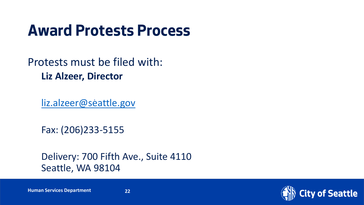Protests must be filed with: **Liz Alzeer, Director**

[liz.alzeer@seattle.gov](mailto:liz.alzeer@seattle.gov)

Fax: (206)233-5155

Delivery: 700 Fifth Ave., Suite 4110 Seattle, WA 98104

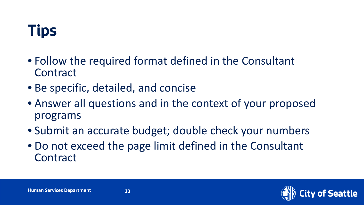# **Tips**

- Follow the required format defined in the Consultant **Contract**
- Be specific, detailed, and concise
- Answer all questions and in the context of your proposed programs
- Submit an accurate budget; double check your numbers
- Do not exceed the page limit defined in the Consultant **Contract**

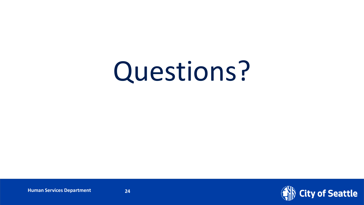# Questions?